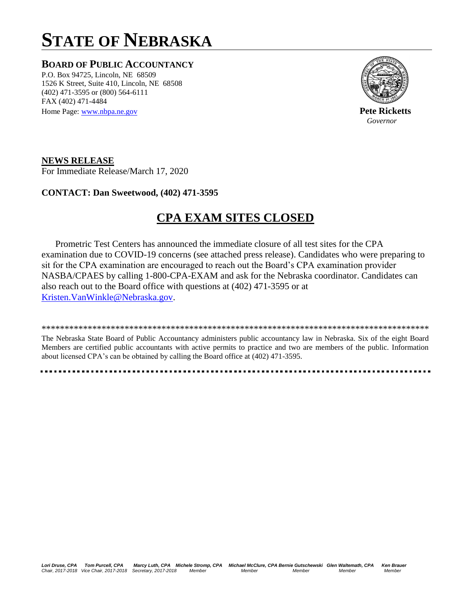# **STATE OF NEBRASKA**

### **BOARD OF PUBLIC ACCOUNTANCY**

P.O. Box 94725, Lincoln, NE 68509 1526 K Street, Suite 410, Lincoln, NE 68508 (402) 471-3595 or (800) 564-6111 FAX (402) 471-4484 Home Page[: www.nbpa.ne.gov](http://www.nbpa.ne.gov/) **Pete Ricketts** 



*Governor* 

**NEWS RELEASE** For Immediate Release/March 17, 2020

#### **CONTACT: Dan Sweetwood, (402) 471-3595**

## **CPA EXAM SITES CLOSED**

 Prometric Test Centers has announced the immediate closure of all test sites for the CPA examination due to COVID-19 concerns (see attached press release). Candidates who were preparing to sit for the CPA examination are encouraged to reach out the Board's CPA examination provider NASBA/CPAES by calling 1-800-CPA-EXAM and ask for the Nebraska coordinator. Candidates can also reach out to the Board office with questions at (402) 471-3595 or at [Kristen.VanWinkle@Nebraska.gov.](mailto:Kristen.VanWinkle@Nebraska.gov)

The Nebraska State Board of Public Accountancy administers public accountancy law in Nebraska. Six of the eight Board Members are certified public accountants with active permits to practice and two are members of the public. Information about licensed CPA's can be obtained by calling the Board office at (402) 471-3595.

\*\*\*\*\*\*\*\*\*\*\*\*\*\*\*\*\*\*\*\*\*\*\*\*\*\*\*\*\*\*\*\*\*\*\*\*\*\*\*\*\*\*\*\*\*\*\*\*\*\*\*\*\*\*\*\*\*\*\*\*\*\*\*\*\*\*\*\*\*\*\*\*\*\*\*\*\*\*\*\*\*\*\*\*

*Lori Druse, CPA Tom Purcell, CPA Marcy Luth, CPA Michele Stromp, CPA Michael McClure, CPA Bernie Gutschewski Glen Waltemath, CPA Ken Brauer Chair, 2017-2018 Vice Chair, 2017-2018 Secretary, 2017-2018 Member Member Member Member Member*